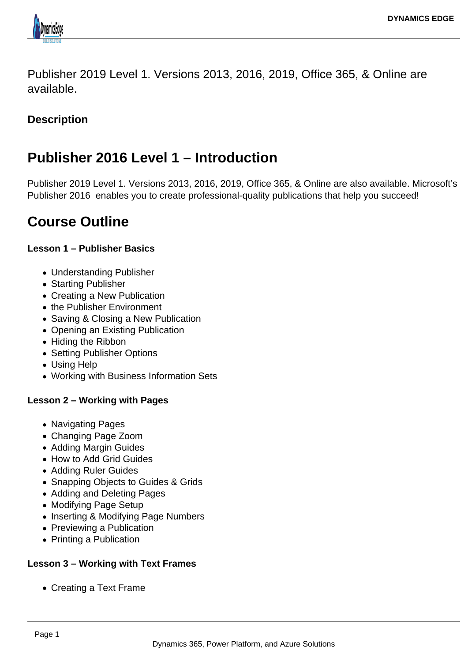

Publisher 2019 Level 1. Versions 2013, 2016, 2019, Office 365, & Online are available.

### **Description**

# **Publisher 2016 Level 1 – Introduction**

Publisher 2019 Level 1. Versions 2013, 2016, 2019, Office 365, & Online are also available. Microsoft's Publisher 2016 enables you to create professional-quality publications that help you succeed!

# **Course Outline**

#### **Lesson 1 – Publisher Basics**

- Understanding Publisher
- Starting Publisher
- Creating a New Publication
- the Publisher Environment
- Saving & Closing a New Publication
- Opening an Existing Publication
- Hiding the Ribbon
- Setting Publisher Options
- Using Help
- Working with Business Information Sets

#### **Lesson 2 – Working with Pages**

- Navigating Pages
- Changing Page Zoom
- Adding Margin Guides
- How to Add Grid Guides
- Adding Ruler Guides
- Snapping Objects to Guides & Grids
- Adding and Deleting Pages
- Modifying Page Setup
- Inserting & Modifying Page Numbers
- Previewing a Publication
- Printing a Publication

#### **Lesson 3 – Working with Text Frames**

Creating a Text Frame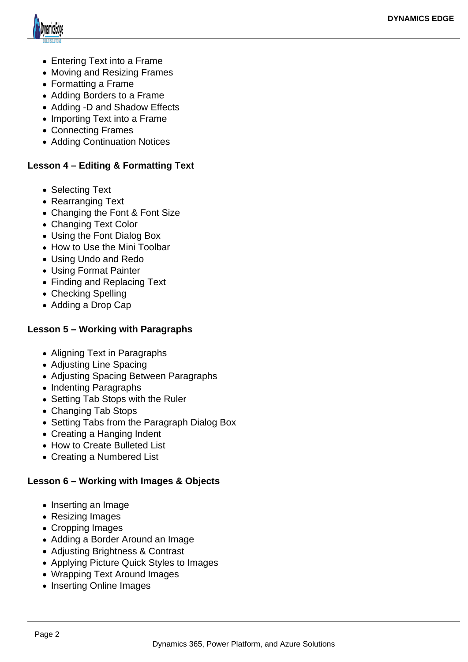

- Entering Text into a Frame
- Moving and Resizing Frames
- Formatting a Frame
- Adding Borders to a Frame
- Adding -D and Shadow Effects
- Importing Text into a Frame
- Connecting Frames
- Adding Continuation Notices

#### **Lesson 4 – Editing & Formatting Text**

- Selecting Text
- Rearranging Text
- Changing the Font & Font Size
- Changing Text Color
- Using the Font Dialog Box
- How to Use the Mini Toolbar
- Using Undo and Redo
- Using Format Painter
- Finding and Replacing Text
- Checking Spelling
- Adding a Drop Cap

#### **Lesson 5 – Working with Paragraphs**

- Aligning Text in Paragraphs
- Adjusting Line Spacing
- Adjusting Spacing Between Paragraphs
- Indenting Paragraphs
- Setting Tab Stops with the Ruler
- Changing Tab Stops
- Setting Tabs from the Paragraph Dialog Box
- Creating a Hanging Indent
- How to Create Bulleted List
- Creating a Numbered List

### **Lesson 6 – Working with Images & Objects**

- Inserting an Image
- Resizing Images
- Cropping Images
- Adding a Border Around an Image
- Adjusting Brightness & Contrast
- Applying Picture Quick Styles to Images
- Wrapping Text Around Images
- Inserting Online Images